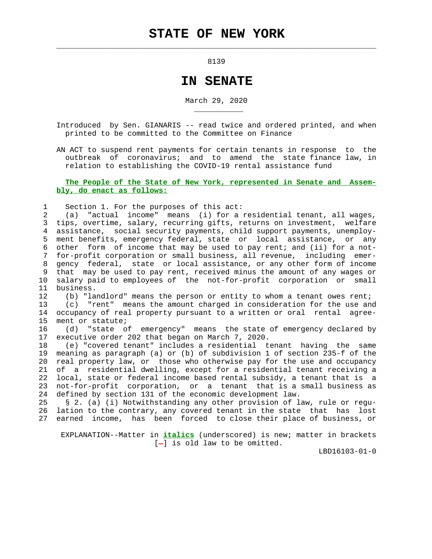$\mathcal{L}_\text{max} = \frac{1}{2} \sum_{i=1}^{n} \frac{1}{2} \sum_{i=1}^{n} \frac{1}{2} \sum_{i=1}^{n} \frac{1}{2} \sum_{i=1}^{n} \frac{1}{2} \sum_{i=1}^{n} \frac{1}{2} \sum_{i=1}^{n} \frac{1}{2} \sum_{i=1}^{n} \frac{1}{2} \sum_{i=1}^{n} \frac{1}{2} \sum_{i=1}^{n} \frac{1}{2} \sum_{i=1}^{n} \frac{1}{2} \sum_{i=1}^{n} \frac{1}{2} \sum_{i=1}^{n} \frac{1$ 

external contracts of the state of the state of the state of the state of the state of the state of the state o

## **IN SENATE**

March 29, 2020

 Introduced by Sen. GIANARIS -- read twice and ordered printed, and when printed to be committed to the Committee on Finance

 AN ACT to suspend rent payments for certain tenants in response to the outbreak of coronavirus; and to amend the state finance law, in relation to establishing the COVID-19 rental assistance fund

## **The People of the State of New York, represented in Senate and Assem bly, do enact as follows:**

1 Section 1. For the purposes of this act:

\_\_\_\_\_\_\_\_\_\_\_

 2 (a) "actual income" means (i) for a residential tenant, all wages, 3 tips, overtime, salary, recurring gifts, returns on investment, welfare 4 assistance, social security payments, child support payments, unemploy- 5 ment benefits, emergency federal, state or local assistance, or any 6 other form of income that may be used to pay rent; and (ii) for a not- 7 for-profit corporation or small business, all revenue, including emer- 8 gency federal, state or local assistance, or any other form of income 9 that may be used to pay rent, received minus the amount of any wages or 10 salary paid to employees of the not-for-profit corporation or small 11 business.

 12 (b) "landlord" means the person or entity to whom a tenant owes rent; 13 (c) "rent" means the amount charged in consideration for the use and 14 occupancy of real property pursuant to a written or oral rental agree- 15 ment or statute;

 16 (d) "state of emergency" means the state of emergency declared by 17 executive order 202 that began on March 7, 2020.

 18 (e) "covered tenant" includes a residential tenant having the same 19 meaning as paragraph (a) or (b) of subdivision 1 of section 235-f of the 20 real property law, or those who otherwise pay for the use and occupancy 21 of a residential dwelling, except for a residential tenant receiving a 22 local, state or federal income based rental subsidy, a tenant that is a 23 not-for-profit corporation, or a tenant that is a small business as 24 defined by section 131 of the economic development law.

 25 § 2. (a) (i) Notwithstanding any other provision of law, rule or regu- 26 lation to the contrary, any covered tenant in the state that has lost 27 earned income, has been forced to close their place of business, or

 EXPLANATION--Matter in **italics** (underscored) is new; matter in brackets  $[-]$  is old law to be omitted.

LBD16103-01-0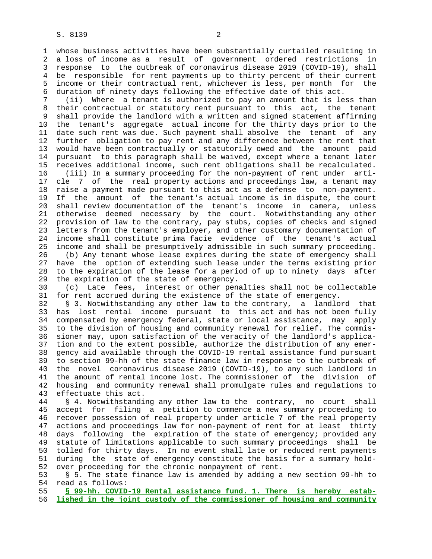1 whose business activities have been substantially curtailed resulting in 2 a loss of income as a result of government ordered restrictions in 3 response to the outbreak of coronavirus disease 2019 (COVID-19), shall 4 be responsible for rent payments up to thirty percent of their current 5 income or their contractual rent, whichever is less, per month for the 6 duration of ninety days following the effective date of this act.

 7 (ii) Where a tenant is authorized to pay an amount that is less than 8 their contractual or statutory rent pursuant to this act, the tenant shall provide the landlord with a written and signed statement affirming 10 the tenant's aggregate actual income for the thirty days prior to the 11 date such rent was due. Such payment shall absolve the tenant of any 12 further obligation to pay rent and any difference between the rent that 13 would have been contractually or statutorily owed and the amount paid 14 pursuant to this paragraph shall be waived, except where a tenant later 15 receives additional income, such rent obligations shall be recalculated. 16 (iii) In a summary proceeding for the non-payment of rent under arti- 17 cle 7 of the real property actions and proceedings law, a tenant may 18 raise a payment made pursuant to this act as a defense to non-payment. 19 If the amount of the tenant's actual income is in dispute, the court 20 shall review documentation of the tenant's income in camera, unless 21 otherwise deemed necessary by the court. Notwithstanding any other 22 provision of law to the contrary, pay stubs, copies of checks and signed 23 letters from the tenant's employer, and other customary documentation of 24 income shall constitute prima facie evidence of the tenant's actual 25 income and shall be presumptively admissible in such summary proceeding. 26 (b) Any tenant whose lease expires during the state of emergency shall 27 have the option of extending such lease under the terms existing prior 28 to the expiration of the lease for a period of up to ninety days after 29 the expiration of the state of emergency.

 30 (c) Late fees, interest or other penalties shall not be collectable 31 for rent accrued during the existence of the state of emergency.

 32 § 3. Notwithstanding any other law to the contrary, a landlord that 33 has lost rental income pursuant to this act and has not been fully 34 compensated by emergency federal, state or local assistance, may apply 35 to the division of housing and community renewal for relief. The commis- 36 sioner may, upon satisfaction of the veracity of the landlord's applica- 37 tion and to the extent possible, authorize the distribution of any emer- 38 gency aid available through the COVID-19 rental assistance fund pursuant 39 to section 99-hh of the state finance law in response to the outbreak of 40 the novel coronavirus disease 2019 (COVID-19), to any such landlord in 41 the amount of rental income lost. The commissioner of the division of 42 housing and community renewal shall promulgate rules and regulations to 43 effectuate this act.

 44 § 4. Notwithstanding any other law to the contrary, no court shall 45 accept for filing a petition to commence a new summary proceeding to 46 recover possession of real property under article 7 of the real property 47 actions and proceedings law for non-payment of rent for at least thirty 48 days following the expiration of the state of emergency; provided any 49 statute of limitations applicable to such summary proceedings shall be 50 tolled for thirty days. In no event shall late or reduced rent payments 51 during the state of emergency constitute the basis for a summary hold- 52 over proceeding for the chronic nonpayment of rent.

 53 § 5. The state finance law is amended by adding a new section 99-hh to 54 read as follows:

 55 **§ 99-hh. COVID-19 Rental assistance fund. 1. There is hereby estab-** 56 **lished in the joint custody of the commissioner of housing and community**